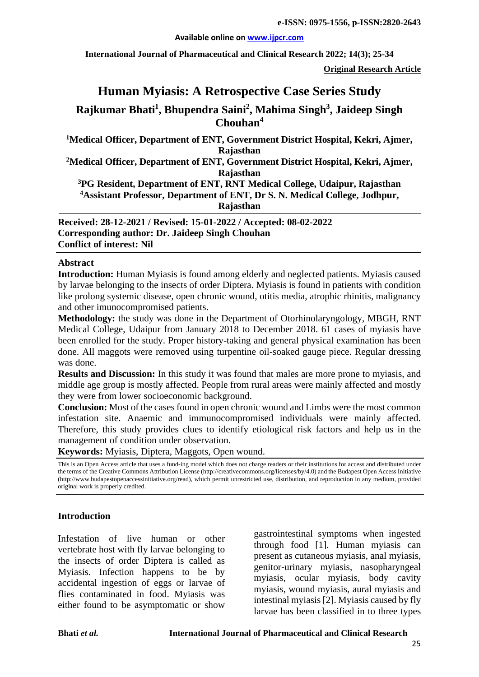#### **Available online on [www.ijpcr.com](http://www.ijpcr.com/)**

**International Journal of Pharmaceutical and Clinical Research 2022; 14(3); 25-34**

**Original Research Article**

# **Human Myiasis: A Retrospective Case Series Study Rajkumar Bhati1 , Bhupendra Saini2 , Mahima Singh3 , Jaideep Singh Chouhan4**

**1 Medical Officer, Department of ENT, Government District Hospital, Kekri, Ajmer, Rajasthan**

**2Medical Officer, Department of ENT, Government District Hospital, Kekri, Ajmer, Rajasthan**

**3 PG Resident, Department of ENT, RNT Medical College, Udaipur, Rajasthan 4 Assistant Professor, Department of ENT, Dr S. N. Medical College, Jodhpur, Rajasthan**

**Received: 28-12-2021 / Revised: 15-01-2022 / Accepted: 08-02-2022 Corresponding author: Dr. Jaideep Singh Chouhan Conflict of interest: Nil**

#### **Abstract**

**Introduction:** Human Myiasis is found among elderly and neglected patients. Myiasis caused by larvae belonging to the insects of order Diptera. Myiasis is found in patients with condition like prolong systemic disease, open chronic wound, otitis media, atrophic rhinitis, malignancy and other imunocompromised patients.

**Methodology:** the study was done in the Department of Otorhinolaryngology, MBGH, RNT Medical College, Udaipur from January 2018 to December 2018. 61 cases of myiasis have been enrolled for the study. Proper history-taking and general physical examination has been done. All maggots were removed using turpentine oil-soaked gauge piece. Regular dressing was done.

**Results and Discussion:** In this study it was found that males are more prone to myiasis, and middle age group is mostly affected. People from rural areas were mainly affected and mostly they were from lower socioeconomic background.

**Conclusion:** Most of the cases found in open chronic wound and Limbs were the most common infestation site. Anaemic and immunocompromised individuals were mainly affected. Therefore, this study provides clues to identify etiological risk factors and help us in the management of condition under observation.

**Keywords:** Myiasis, Diptera, Maggots, Open wound.

This is an Open Access article that uses a fund-ing model which does not charge readers or their institutions for access and distributed under the terms of the Creative Commons Attribution License (http://creativecommons.org/licenses/by/4.0) and the Budapest Open Access Initiative (http://www.budapestopenaccessinitiative.org/read), which permit unrestricted use, distribution, and reproduction in any medium, provided original work is properly credited.

#### **Introduction**

Infestation of live human or other vertebrate host with fly larvae belonging to the insects of order Diptera is called as Myiasis. Infection happens to be by accidental ingestion of eggs or larvae of flies contaminated in food. Myiasis was either found to be asymptomatic or show

gastrointestinal symptoms when ingested through food [1]. Human myiasis can present as cutaneous myiasis, anal myiasis, genitor-urinary myiasis, nasopharyngeal myiasis, ocular myiasis, body cavity myiasis, wound myiasis, aural myiasis and intestinal myiasis [2]. Myiasis caused by fly larvae has been classified in to three types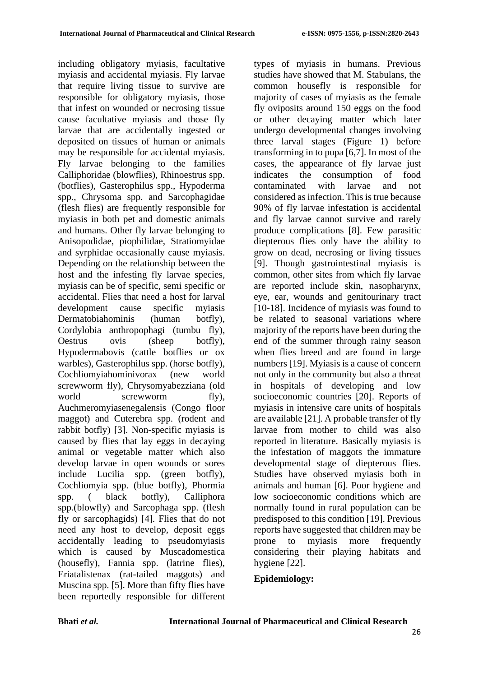including obligatory myiasis, facultative myiasis and accidental myiasis. Fly larvae that require living tissue to survive are responsible for obligatory myiasis, those that infest on wounded or necrosing tissue cause facultative myiasis and those fly larvae that are accidentally ingested or deposited on tissues of human or animals may be responsible for accidental myiasis. Fly larvae belonging to the families Calliphoridae (blowflies), Rhinoestrus spp. (botflies), Gasterophilus spp., Hypoderma spp., Chrysoma spp. and Sarcophagidae (flesh flies) are frequently responsible for myiasis in both pet and domestic animals and humans. Other fly larvae belonging to Anisopodidae, piophilidae, Stratiomyidae and syrphidae occasionally cause myiasis. Depending on the relationship between the host and the infesting fly larvae species, myiasis can be of specific, semi specific or accidental. Flies that need a host for larval development cause specific myiasis Dermatobiahominis (human botfly), Cordylobia anthropophagi (tumbu fly), Oestrus ovis (sheep botfly), Hypodermabovis (cattle botflies or ox warbles), Gasterophilus spp. (horse botfly), Cochliomyiahominivorax (new world screwworm fly), Chrysomyabezziana (old world screwworm fly), Auchmeromyiasenegalensis (Congo floor maggot) and Cuterebra spp. (rodent and rabbit botfly) [3]. Non-specific myiasis is caused by flies that lay eggs in decaying animal or vegetable matter which also develop larvae in open wounds or sores include Lucilia spp. (green botfly), Cochliomyia spp. (blue botfly), Phormia spp. ( black botfly), Calliphora spp.(blowfly) and Sarcophaga spp. (flesh fly or sarcophagids) [4]. Flies that do not need any host to develop, deposit eggs accidentally leading to pseudomyiasis which is caused by Muscadomestica (housefly), Fannia spp. (latrine flies), Eriatalistenax (rat-tailed maggots) and Muscina spp. [5]. More than fifty flies have been reportedly responsible for different types of myiasis in humans. Previous studies have showed that M. Stabulans, the common housefly is responsible for majority of cases of myiasis as the female fly oviposits around 150 eggs on the food or other decaying matter which later undergo developmental changes involving three larval stages (Figure 1) before transforming in to pupa [6,7]. In most of the cases, the appearance of fly larvae just indicates the consumption of food contaminated with larvae and not considered as infection. This is true because 90% of fly larvae infestation is accidental and fly larvae cannot survive and rarely produce complications [8]. Few parasitic diepterous flies only have the ability to grow on dead, necrosing or living tissues [9]. Though gastrointestinal myiasis is common, other sites from which fly larvae are reported include skin, nasopharynx, eye, ear, wounds and genitourinary tract [10-18]. Incidence of myiasis was found to be related to seasonal variations where majority of the reports have been during the end of the summer through rainy season when flies breed and are found in large numbers [19]. Myiasis is a cause of concern not only in the community but also a threat in hospitals of developing and low socioeconomic countries [20]. Reports of myiasis in intensive care units of hospitals are available [21]. A probable transfer of fly larvae from mother to child was also reported in literature. Basically myiasis is the infestation of maggots the immature developmental stage of diepterous flies. Studies have observed myiasis both in animals and human [6]. Poor hygiene and low socioeconomic conditions which are normally found in rural population can be predisposed to this condition [19]. Previous reports have suggested that children may be prone to myiasis more frequently considering their playing habitats and hygiene [22].

# **Epidemiology:**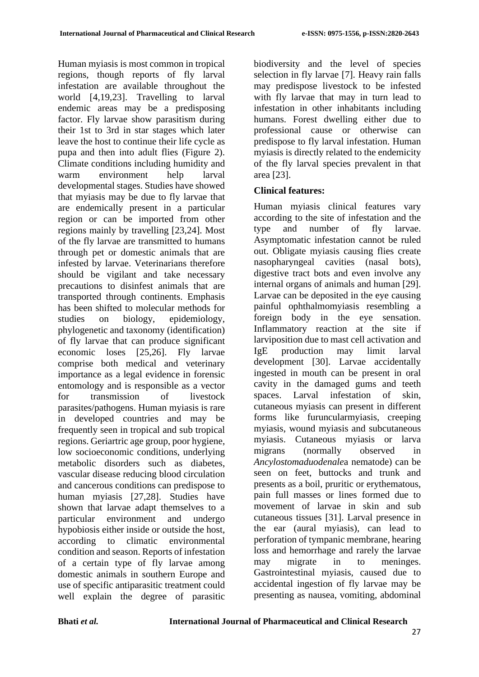Human myiasis is most common in tropical regions, though reports of fly larval infestation are available throughout the world [4,19,23]. Travelling to larval endemic areas may be a predisposing factor. Fly larvae show parasitism during their 1st to 3rd in star stages which later leave the host to continue their life cycle as pupa and then into adult flies (Figure 2). Climate conditions including humidity and warm environment help larval developmental stages. Studies have showed that myiasis may be due to fly larvae that are endemically present in a particular region or can be imported from other regions mainly by travelling [23,24]. Most of the fly larvae are transmitted to humans through pet or domestic animals that are infested by larvae. Veterinarians therefore should be vigilant and take necessary precautions to disinfest animals that are transported through continents. Emphasis has been shifted to molecular methods for studies on biology, epidemiology, phylogenetic and taxonomy (identification) of fly larvae that can produce significant economic loses [25,26]. Fly larvae comprise both medical and veterinary importance as a legal evidence in forensic entomology and is responsible as a vector for transmission of livestock parasites/pathogens. Human myiasis is rare in developed countries and may be frequently seen in tropical and sub tropical regions. Geriartric age group, poor hygiene, low socioeconomic conditions, underlying metabolic disorders such as diabetes, vascular disease reducing blood circulation and cancerous conditions can predispose to human myiasis [27,28]. Studies have shown that larvae adapt themselves to a particular environment and undergo hypobiosis either inside or outside the host, according to climatic environmental condition and season. Reports of infestation of a certain type of fly larvae among domestic animals in southern Europe and use of specific antiparasitic treatment could well explain the degree of parasitic biodiversity and the level of species selection in fly larvae [7]. Heavy rain falls may predispose livestock to be infested with fly larvae that may in turn lead to infestation in other inhabitants including humans. Forest dwelling either due to professional cause or otherwise can predispose to fly larval infestation. Human myiasis is directly related to the endemicity of the fly larval species prevalent in that area [23].

### **Clinical features:**

Human myiasis clinical features vary according to the site of infestation and the type and number of fly larvae. Asymptomatic infestation cannot be ruled out. Obligate myiasis causing flies create nasopharyngeal cavities (nasal bots), digestive tract bots and even involve any internal organs of animals and human [29]. Larvae can be deposited in the eye causing painful ophthalmomyiasis resembling a foreign body in the eye sensation. Inflammatory reaction at the site if larviposition due to mast cell activation and IgE production may limit larval development [30]. Larvae accidentally ingested in mouth can be present in oral cavity in the damaged gums and teeth spaces. Larval infestation of skin, cutaneous myiasis can present in different forms like furuncularmyiasis, creeping myiasis, wound myiasis and subcutaneous myiasis. Cutaneous myiasis or larva migrans (normally observed in *Ancylostomaduodenale*a nematode) can be seen on feet, buttocks and trunk and presents as a boil, pruritic or erythematous, pain full masses or lines formed due to movement of larvae in skin and sub cutaneous tissues [31]. Larval presence in the ear (aural myiasis), can lead to perforation of tympanic membrane, hearing loss and hemorrhage and rarely the larvae may migrate in to meninges. Gastrointestinal myiasis, caused due to accidental ingestion of fly larvae may be presenting as nausea, vomiting, abdominal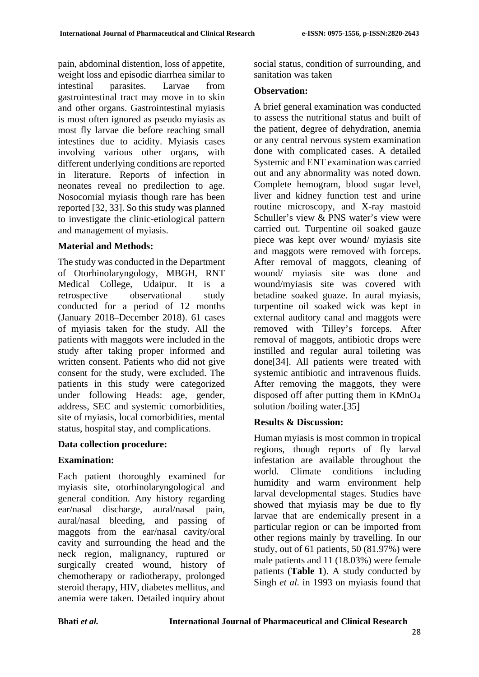pain, abdominal distention, loss of appetite, weight loss and episodic diarrhea similar to intestinal parasites. Larvae from gastrointestinal tract may move in to skin and other organs. Gastrointestinal myiasis is most often ignored as pseudo myiasis as most fly larvae die before reaching small intestines due to acidity. Myiasis cases involving various other organs, with different underlying conditions are reported in literature. Reports of infection in neonates reveal no predilection to age. Nosocomial myiasis though rare has been reported [32, 33]. So this study was planned to investigate the clinic-etiological pattern and management of myiasis.

# **Material and Methods:**

The study was conducted in the Department of Otorhinolaryngology, MBGH, RNT Medical College, Udaipur. It is a retrospective observational study conducted for a period of 12 months (January 2018–December 2018). 61 cases of myiasis taken for the study. All the patients with maggots were included in the study after taking proper informed and written consent. Patients who did not give consent for the study, were excluded. The patients in this study were categorized under following Heads: age, gender, address, SEC and systemic comorbidities, site of myiasis, local comorbidities, mental status, hospital stay, and complications.

# **Data collection procedure:**

# **Examination:**

Each patient thoroughly examined for myiasis site, otorhinolaryngological and general condition. Any history regarding ear/nasal discharge, aural/nasal pain, aural/nasal bleeding, and passing of maggots from the ear/nasal cavity/oral cavity and surrounding the head and the neck region, malignancy, ruptured or surgically created wound, history of chemotherapy or radiotherapy, prolonged steroid therapy, HIV, diabetes mellitus, and anemia were taken. Detailed inquiry about social status, condition of surrounding, and sanitation was taken

# **Observation:**

A brief general examination was conducted to assess the nutritional status and built of the patient, degree of dehydration, anemia or any central nervous system examination done with complicated cases. A detailed Systemic and ENT examination was carried out and any abnormality was noted down. Complete hemogram, blood sugar level, liver and kidney function test and urine routine microscopy, and X-ray mastoid Schuller's view & PNS water's view were carried out. Turpentine oil soaked gauze piece was kept over wound/ myiasis site and maggots were removed with forceps. After removal of maggots, cleaning of wound/ myiasis site was done and wound/myiasis site was covered with betadine soaked guaze. In aural myiasis, turpentine oil soaked wick was kept in external auditory canal and maggots were removed with Tilley's forceps. After removal of maggots, antibiotic drops were instilled and regular aural toileting was done[34]. All patients were treated with systemic antibiotic and intravenous fluids. After removing the maggots, they were disposed off after putting them in KMnO4 solution /boiling water.[35]

# **Results & Discussion:**

Human myiasis is most common in tropical regions, though reports of fly larval infestation are available throughout the world. Climate conditions including humidity and warm environment help larval developmental stages. Studies have showed that myiasis may be due to fly larvae that are endemically present in a particular region or can be imported from other regions mainly by travelling. In our study, out of 61 patients, 50 (81.97%) were male patients and 11 (18.03%) were female patients (**Table 1**). A study conducted by Singh *et al.* in 1993 on myiasis found that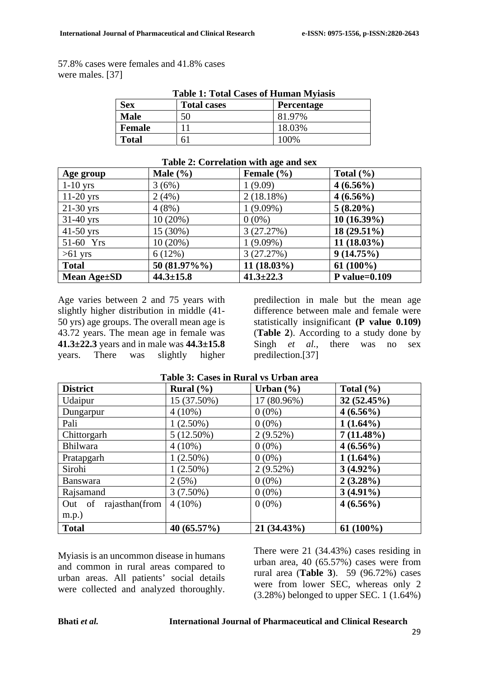57.8% cases were females and 41.8% cases were males. [37]

| <b>Table 1: Total Cases of Human Myiasis</b> |                    |                   |  |  |  |
|----------------------------------------------|--------------------|-------------------|--|--|--|
| <b>Sex</b>                                   | <b>Total cases</b> | <b>Percentage</b> |  |  |  |
| <b>Male</b>                                  | 50                 | 81.97%            |  |  |  |
| <b>Female</b>                                |                    | 18.03%            |  |  |  |
| <b>Total</b>                                 |                    | 100\%             |  |  |  |

|  | Table 2: Correlation with age and sex |  |
|--|---------------------------------------|--|
|  |                                       |  |

|                   |                 | $1000 \pm 0011$ changed with $0.001$ summary |                  |
|-------------------|-----------------|----------------------------------------------|------------------|
| Age group         | Male $(\% )$    | Female $(\% )$                               | Total $(\% )$    |
| $1-10$ yrs        | 3(6%)           | 1(9.09)                                      | $4(6.56\%)$      |
| $11-20$ yrs       | 2(4%)           | 2(18.18%)                                    | $4(6.56\%)$      |
| $21-30$ yrs       | 4(8%)           | $1(9.09\%)$                                  | $5(8.20\%)$      |
| $31-40$ yrs       | $10(20\%)$      | $0(0\%)$                                     | $10(16.39\%)$    |
| $41-50$ yrs       | 15 (30%)        | 3(27.27%)                                    | 18 (29.51%)      |
| 51-60 Yrs         | 10(20%)         | $1(9.09\%)$                                  | $11(18.03\%)$    |
| $>61$ yrs         | 6(12%)          | 3(27.27%)                                    | 9(14.75%)        |
| <b>Total</b>      | 50 (81.97%%)    | 11 (18.03%)                                  | $61(100\%)$      |
| Mean $Age \pm SD$ | $44.3 \pm 15.8$ | $41.3 \pm 22.3$                              | P value= $0.109$ |

Age varies between 2 and 75 years with slightly higher distribution in middle (41- 50 yrs) age groups. The overall mean age is 43.72 years. The mean age in female was **41.3±22.3** years and in male was **44.3±15.8**  years. There was slightly higher

predilection in male but the mean age difference between male and female were statistically insignificant **(P value 0.109)** (**Table 2**). According to a study done by Singh *et al.*, there was no sex predilection.[37]

| <b>District</b>          | Rural $(\% )$  | Urban $(\% )$ | Total $(\% )$ |
|--------------------------|----------------|---------------|---------------|
| Udaipur                  | 15 (37.50%)    | 17 (80.96%)   | 32(52.45%)    |
| Dungarpur                | $4(10\%)$      | $0(0\%)$      | $4(6.56\%)$   |
| Pali                     | $1(2.50\%)$    | $0(0\%)$      | $1(1.64\%)$   |
| Chittorgarh              | $5(12.50\%)$   | $2(9.52\%)$   | $7(11.48\%)$  |
| <b>Bhilwara</b>          | $4(10\%)$      | $0(0\%)$      | $4(6.56\%)$   |
| Pratapgarh               | $1(2.50\%)$    | $0(0\%)$      | $1(1.64\%)$   |
| Sirohi                   | $1(2.50\%)$    | $2(9.52\%)$   | $3(4.92\%)$   |
| <b>Banswara</b>          | 2(5%)          | $0(0\%)$      | $2(3.28\%)$   |
| Rajsamand                | $3(7.50\%)$    | $0(0\%)$      | $3(4.91\%)$   |
| Out of<br>rajasthan(from | $4(10\%)$      | $0(0\%)$      | $4(6.56\%)$   |
| m.p.)                    |                |               |               |
| <b>Total</b>             | 40 $(65.57\%)$ | 21 (34.43%)   | $61(100\%)$   |

#### **Table 3: Cases in Rural vs Urban area**

Myiasis is an uncommon disease in humans and common in rural areas compared to urban areas. All patients' social details were collected and analyzed thoroughly.

There were 21 (34.43%) cases residing in urban area, 40 (65.57%) cases were from rural area (**Table 3**). 59 (96.72%) cases were from lower SEC, whereas only 2  $(3.28\%)$  belonged to upper SEC. 1  $(1.64\%)$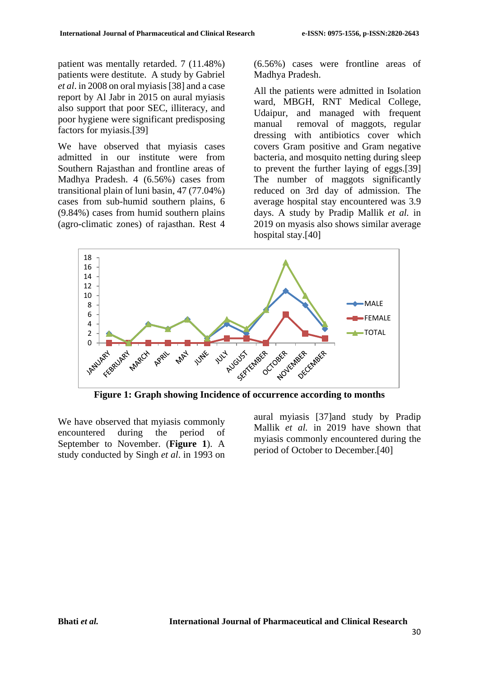patient was mentally retarded. 7 (11.48%) patients were destitute. A study by Gabriel *et al*. in 2008 on oral myiasis[38] and a case report by Al Jabr in 2015 on aural myiasis also support that poor SEC, illiteracy, and poor hygiene were significant predisposing factors for myiasis.[39]

We have observed that myiasis cases admitted in our institute were from Southern Rajasthan and frontline areas of Madhya Pradesh. 4 (6.56%) cases from transitional plain of luni basin, 47 (77.04%) cases from sub-humid southern plains, 6 (9.84%) cases from humid southern plains (agro-climatic zones) of rajasthan. Rest 4 (6.56%) cases were frontline areas of Madhya Pradesh.

All the patients were admitted in Isolation ward, MBGH, RNT Medical College, Udaipur, and managed with frequent manual removal of maggots, regular dressing with antibiotics cover which covers Gram positive and Gram negative bacteria, and mosquito netting during sleep to prevent the further laying of eggs.[39] The number of maggots significantly reduced on 3rd day of admission. The average hospital stay encountered was 3.9 days. A study by Pradip Mallik *et al.* in 2019 on myasis also shows similar average hospital stay.[40]



**Figure 1: Graph showing Incidence of occurrence according to months**

We have observed that myiasis commonly encountered during the period of September to November. (**Figure 1**). A study conducted by Singh *et al*. in 1993 on aural myiasis [37]and study by Pradip Mallik *et al.* in 2019 have shown that myiasis commonly encountered during the period of October to December.[40]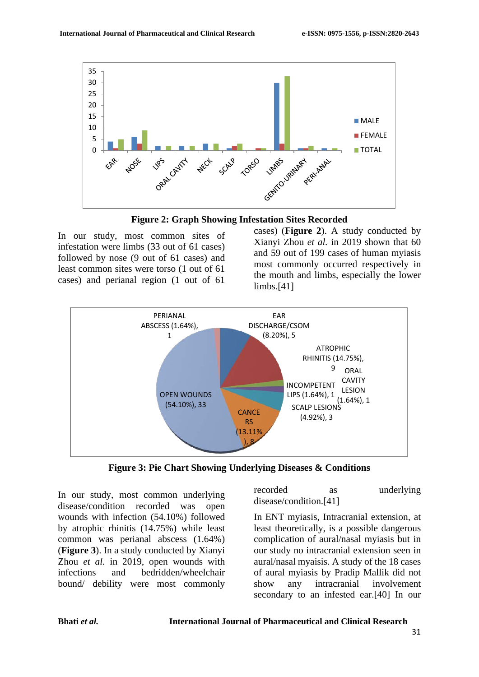



In our study, most common sites of infestation were limbs (33 out of 61 cases) followed by nose (9 out of 61 cases) and least common sites were torso (1 out of 61 cases) and perianal region (1 out of 61

cases) (**Figure 2**). A study conducted by Xianyi Zhou *et al.* in 2019 shown that 60 and 59 out of 199 cases of human myiasis most commonly occurred respectively in the mouth and limbs, especially the lower limbs.[41]



**Figure 3: Pie Chart Showing Underlying Diseases & Conditions**

In our study, most common underlying disease/condition recorded was open wounds with infection (54.10%) followed by atrophic rhinitis (14.75%) while least common was perianal abscess (1.64%) (**Figure 3**). In a study conducted by Xianyi Zhou *et al.* in 2019, open wounds with infections and bedridden/wheelchair bound/ debility were most commonly recorded as underlying disease/condition.[41]

In ENT myiasis, Intracranial extension, at least theoretically, is a possible dangerous complication of aural/nasal myiasis but in our study no intracranial extension seen in aural/nasal myaisis. A study of the 18 cases of aural myiasis by Pradip Mallik did not show any intracranial involvement secondary to an infested ear.[40] In our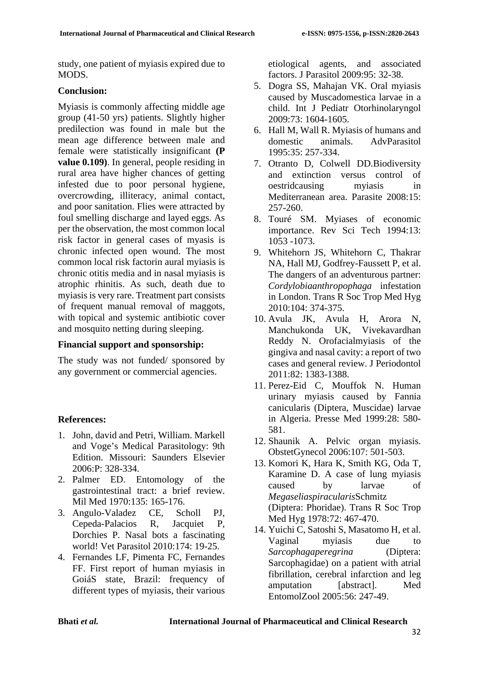study, one patient of myiasis expired due to MODS.

### **Conclusion:**

Myiasis is commonly affecting middle age group (41-50 yrs) patients. Slightly higher predilection was found in male but the mean age difference between male and female were statistically insignificant **(P value 0.109)**. In general, people residing in rural area have higher chances of getting infested due to poor personal hygiene, overcrowding, illiteracy, animal contact, and poor sanitation. Flies were attracted by foul smelling discharge and layed eggs. As per the observation, the most common local risk factor in general cases of myasis is chronic infected open wound. The most common local risk factorin aural myiasis is chronic otitis media and in nasal myiasis is atrophic rhinitis. As such, death due to myiasis is very rare. Treatment part consists of frequent manual removal of maggots, with topical and systemic antibiotic cover and mosquito netting during sleeping.

# **Financial support and sponsorship:**

The study was not funded/ sponsored by any government or commercial agencies.

# **References:**

- 1. John, david and Petri, William. Markell and Voge's Medical Parasitology: 9th Edition. Missouri: Saunders Elsevier 2006:P: 328-334.
- 2. Palmer ED. Entomology of the gastrointestinal tract: a brief review. Mil Med 1970:135: 165-176.
- 3. Angulo-Valadez CE, Scholl PJ, Cepeda-Palacios R, Jacquiet P, Dorchies P. Nasal bots a fascinating world! Vet Parasitol 2010:174: 19-25.
- 4. Fernandes LF, Pimenta FC, Fernandes FF. First report of human myiasis in GoiáS state, Brazil: frequency of different types of myiasis, their various

etiological agents, and associated factors. J Parasitol 2009:95: 32-38.

- 5. Dogra SS, Mahajan VK. Oral myiasis caused by Muscadomestica larvae in a child. Int J Pediatr Otorhinolaryngol 2009:73: 1604-1605.
- 6. Hall M, Wall R. Myiasis of humans and domestic animals. AdvParasitol 1995:35: 257-334.
- 7. Otranto D, Colwell DD.Biodiversity and extinction versus control of oestridcausing myiasis in Mediterranean area. Parasite 2008:15: 257-260.
- 8. Touré SM. Myiases of economic importance. Rev Sci Tech 1994:13: 1053 -1073.
- 9. Whitehorn JS, Whitehorn C, Thakrar NA, Hall MJ, Godfrey-Faussett P, et al. The dangers of an adventurous partner: *Cordylobiaanthropophaga* infestation in London. Trans R Soc Trop Med Hyg 2010:104: 374-375.
- 10. Avula JK, Avula H, Arora N, Manchukonda UK, Vivekavardhan Reddy N. Orofacialmyiasis of the gingiva and nasal cavity: a report of two cases and general review. J Periodontol 2011:82: 1383-1388.
- 11. Perez-Eid C, Mouffok N. Human urinary myiasis caused by Fannia canicularis (Diptera, Muscidae) larvae in Algeria. Presse Med 1999:28: 580- 581.
- 12. Shaunik A. Pelvic organ myiasis. ObstetGynecol 2006:107: 501-503.
- 13. Komori K, Hara K, Smith KG, Oda T, Karamine D. A case of lung myiasis caused by larvae of *Megaseliaspiracularis*Schmitz (Diptera: Phoridae). Trans R Soc Trop Med Hyg 1978:72: 467-470.
- 14. Yuichi C, Satoshi S, Masatomo H, et al. Vaginal myiasis due to *Sarcophagaperegrina* (Diptera: Sarcophagidae) on a patient with atrial fibrillation, cerebral infarction and leg amputation [abstract]. Med EntomolZool 2005:56: 247-49.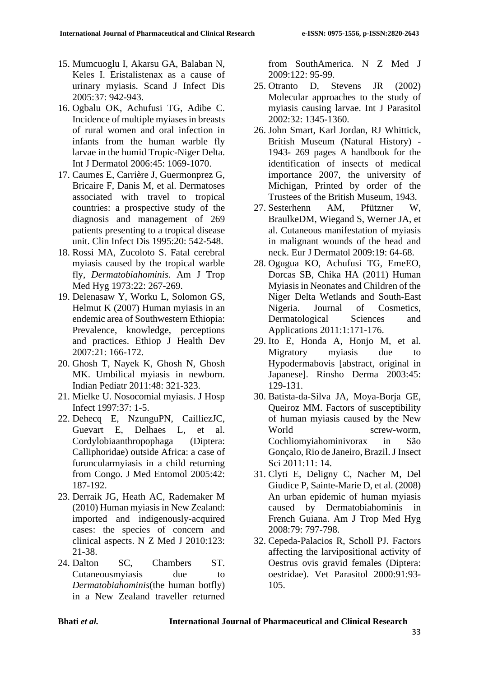- 15. Mumcuoglu I, Akarsu GA, Balaban N, Keles I. Eristalistenax as a cause of urinary myiasis. Scand J Infect Dis 2005:37: 942-943.
- 16. Ogbalu OK, Achufusi TG, Adibe C. Incidence of multiple myiases in breasts of rural women and oral infection in infants from the human warble fly larvae in the humid Tropic-Niger Delta. Int J Dermatol 2006:45: 1069-1070.
- 17. Caumes E, Carrière J, Guermonprez G, Bricaire F, Danis M, et al. Dermatoses associated with travel to tropical countries: a prospective study of the diagnosis and management of 269 patients presenting to a tropical disease unit. Clin Infect Dis 1995:20: 542-548.
- 18. Rossi MA, Zucoloto S. Fatal cerebral myiasis caused by the tropical warble fly, *Dermatobiahominis*. Am J Trop Med Hyg 1973:22: 267-269.
- 19. Delenasaw Y, Worku L, Solomon GS, Helmut K (2007) Human myiasis in an endemic area of Southwestern Ethiopia: Prevalence, knowledge, perceptions and practices. Ethiop J Health Dev 2007:21: 166-172.
- 20. Ghosh T, Nayek K, Ghosh N, Ghosh MK. Umbilical myiasis in newborn. Indian Pediatr 2011:48: 321-323.
- 21. Mielke U. Nosocomial myiasis. J Hosp Infect 1997:37: 1-5.
- 22. Dehecq E, NzunguPN, CailliezJC, Guevart E, Delhaes L, et al. Cordylobiaanthropophaga (Diptera: Calliphoridae) outside Africa: a case of furuncularmyiasis in a child returning from Congo. J Med Entomol 2005:42: 187-192.
- 23. Derraik JG, Heath AC, Rademaker M (2010) Human myiasis in New Zealand: imported and indigenously-acquired cases: the species of concern and clinical aspects. N Z Med J 2010:123: 21-38.
- 24. Dalton SC, Chambers ST. Cutaneousmyiasis due to *Dermatobiahominis*(the human botfly) in a New Zealand traveller returned

from SouthAmerica. N Z Med J 2009:122: 95-99.

- 25. Otranto D, Stevens JR (2002) Molecular approaches to the study of myiasis causing larvae. Int J Parasitol 2002:32: 1345-1360.
- 26. John Smart, Karl Jordan, RJ Whittick, British Museum (Natural History) - 1943- 269 pages A handbook for the identification of insects of medical importance 2007, the university of Michigan, Printed by order of the Trustees of the British Museum, 1943.
- 27. Sesterhenn AM, Pfützner W, BraulkeDM, Wiegand S, Werner JA, et al. Cutaneous manifestation of myiasis in malignant wounds of the head and neck. Eur J Dermatol 2009:19: 64-68.
- 28. Ogugua KO, Achufusi TG, EmeEO, Dorcas SB, Chika HA (2011) Human Myiasis in Neonates and Children of the Niger Delta Wetlands and South-East Nigeria. Journal of Cosmetics, Dermatological Sciences and Applications 2011:1:171-176.
- 29. Ito E, Honda A, Honjo M, et al. Migratory myiasis due to Hypodermabovis [abstract, original in Japanese]. Rinsho Derma 2003:45: 129-131.
- 30. Batista-da-Silva JA, Moya-Borja GE, Queiroz MM. Factors of susceptibility of human myiasis caused by the New World screw-worm, Cochliomyiahominivorax in São Gonçalo, Rio de Janeiro, Brazil. J Insect Sci 2011:11: 14.
- 31. Clyti E, Deligny C, Nacher M, Del Giudice P, Sainte-Marie D, et al. (2008) An urban epidemic of human myiasis caused by Dermatobiahominis in French Guiana. Am J Trop Med Hyg 2008:79: 797-798.
- 32. Cepeda-Palacios R, Scholl PJ. Factors affecting the larvipositional activity of Oestrus ovis gravid females (Diptera: oestridae). Vet Parasitol 2000:91:93- 105.